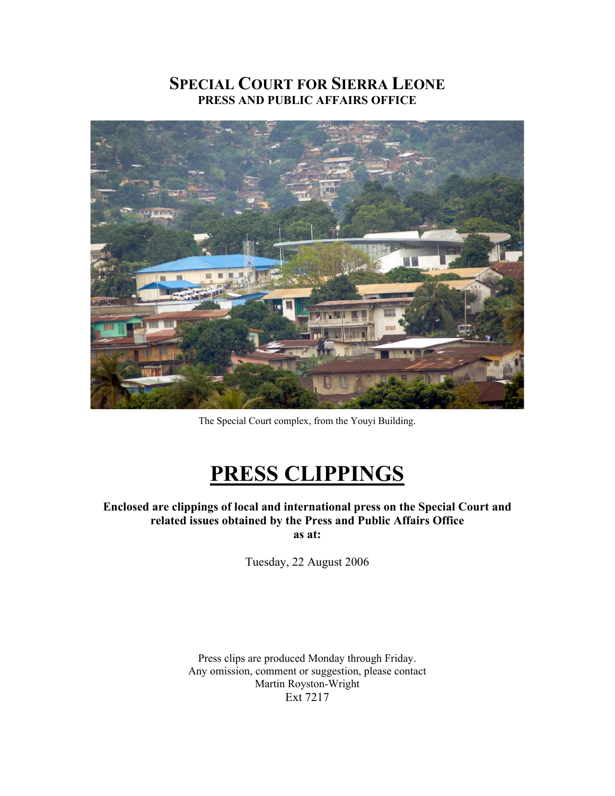# **SPECIAL COURT FOR SIERRA LEONE PRESS AND PUBLIC AFFAIRS OFFICE**



The Special Court complex, from the Youyi Building.

# **PRESS CLIPPINGS**

**Enclosed are clippings of local and international press on the Special Court and related issues obtained by the Press and Public Affairs Office as at:** 

Tuesday, 22 August 2006

Press clips are produced Monday through Friday. Any omission, comment or suggestion, please contact Martin Royston-Wright Ext 7217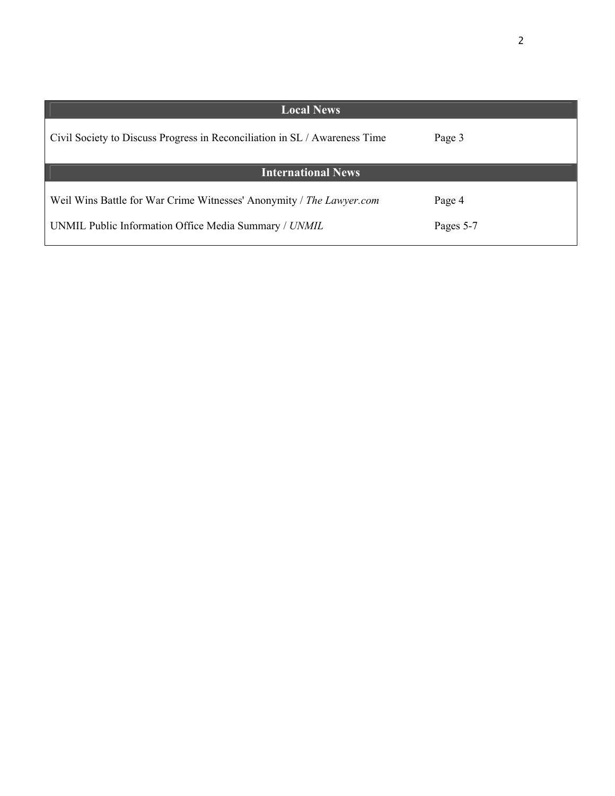| <b>Local News</b>                                                          |           |
|----------------------------------------------------------------------------|-----------|
| Civil Society to Discuss Progress in Reconciliation in SL / Awareness Time | Page 3    |
| <b>International News</b>                                                  |           |
| Weil Wins Battle for War Crime Witnesses' Anonymity / The Lawyer.com       | Page 4    |
| UNMIL Public Information Office Media Summary / UNMIL                      | Pages 5-7 |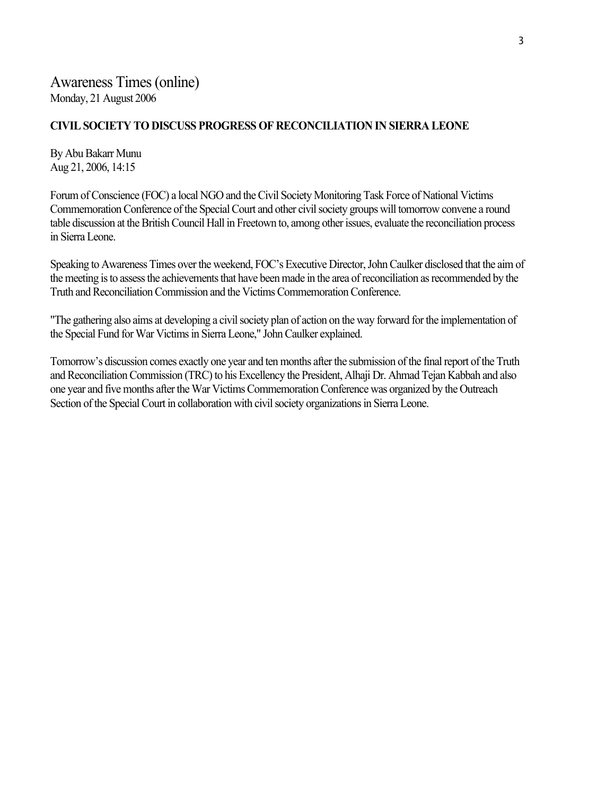### **CIVIL SOCIETY TO DISCUSS PROGRESS OF RECONCILIATION IN SIERRA LEONE**

By Abu Bakarr Munu Aug 21, 2006, 14:15

Forum of Conscience (FOC) a local NGO and the Civil Society Monitoring Task Force of National Victims Commemoration Conference of the Special Court and other civil society groups will tomorrow convene a round table discussion at the British Council Hall in Freetown to, among other issues, evaluate the reconciliation process in Sierra Leone.

Speaking to Awareness Times over the weekend, FOC's Executive Director, John Caulker disclosed that the aim of the meeting is to assess the achievements that have been made in the area of reconciliation as recommended by the Truth and Reconciliation Commission and the Victims Commemoration Conference.

"The gathering also aims at developing a civil society plan of action on the way forward for the implementation of the Special Fund for War Victims in Sierra Leone," John Caulker explained.

Tomorrow's discussion comes exactly one year and ten months after the submission of the final report of the Truth and Reconciliation Commission (TRC) to his Excellency the President, Alhaji Dr. Ahmad Tejan Kabbah and also one year and five months after the War Victims Commemoration Conference was organized by the Outreach Section of the Special Court in collaboration with civil society organizations in Sierra Leone.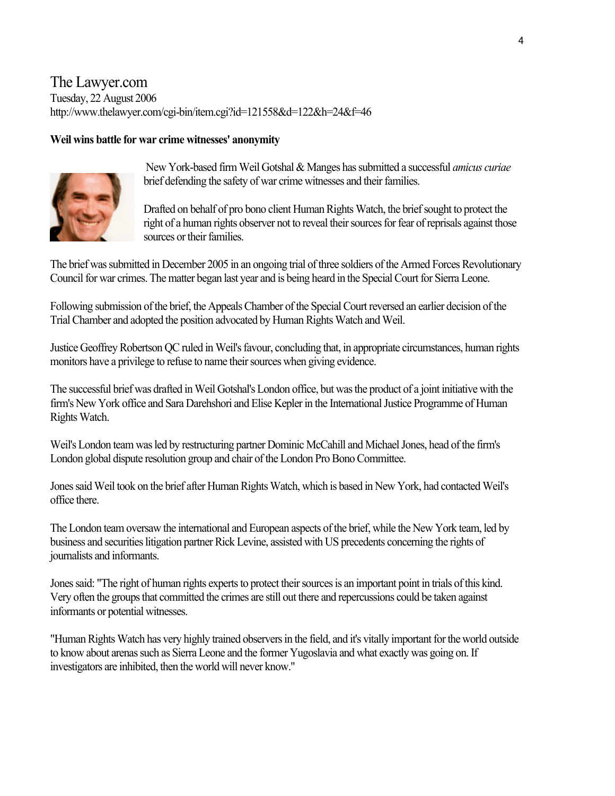## The Lawyer.com Tuesday, 22 August 2006 http://www.thelawyer.com/cgi-bin/item.cgi?id=121558&d=122&h=24&f=46

### **Weil wins battle for war crime witnesses' anonymity**



 New York-based firm Weil Gotshal & Manges has submitted a successful *amicus curiae* brief defending the safety of war crime witnesses and their families.

Drafted on behalf of pro bono client Human Rights Watch, the brief sought to protect the right of a human rights observer not to reveal their sources for fear of reprisals against those sources or their families.

The brief was submitted in December 2005 in an ongoing trial of three soldiers of the Armed Forces Revolutionary Council for war crimes. The matter began last year and is being heard in the Special Court for Sierra Leone.

Following submission of the brief, the Appeals Chamber of the Special Court reversed an earlier decision of the Trial Chamber and adopted the position advocated by Human Rights Watch and Weil.

Justice Geoffrey Robertson QC ruled in Weil's favour, concluding that, in appropriate circumstances, human rights monitors have a privilege to refuse to name their sources when giving evidence.

The successful brief was drafted in Weil Gotshal's London office, but was the product of a joint initiative with the firm's New York office and Sara Darehshori and Elise Kepler in the International Justice Programme of Human Rights Watch.

Weil's London team was led by restructuring partner Dominic McCahill and Michael Jones, head of the firm's London global dispute resolution group and chair of the London Pro Bono Committee.

Jones said Weil took on the brief after Human Rights Watch, which is based in New York, had contacted Weil's office there.

The London team oversaw the international and European aspects of the brief, while the New York team, led by business and securities litigation partner Rick Levine, assisted with US precedents concerning the rights of journalists and informants.

Jones said: "The right of human rights experts to protect their sources is an important point in trials of this kind. Very often the groups that committed the crimes are still out there and repercussions could be taken against informants or potential witnesses.

"Human Rights Watch has very highly trained observers in the field, and it's vitally important for the world outside to know about arenas such as Sierra Leone and the former Yugoslavia and what exactly was going on. If investigators are inhibited, then the world will never know."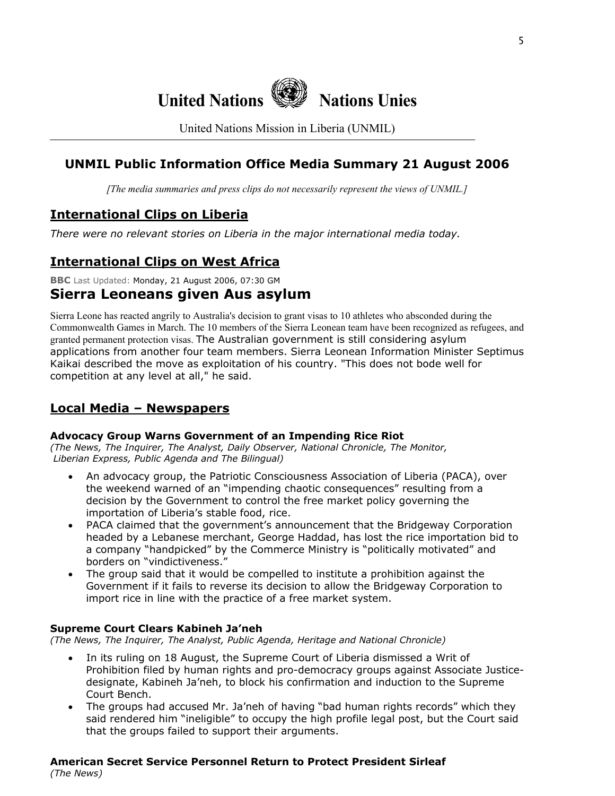

United Nations Mission in Liberia (UNMIL)

# **UNMIL Public Information Office Media Summary 21 August 2006**

*[The media summaries and press clips do not necessarily represent the views of UNMIL.]*

# **International Clips on Liberia**

*There were no relevant stories on Liberia in the major international media today.* 

# **International Clips on West Africa**

**BBC** Last Updated: Monday, 21 August 2006, 07:30 GM

### **Sierra Leoneans given Aus asylum**

Sierra Leone has reacted angrily to Australia's decision to grant visas to 10 athletes who absconded during the Commonwealth Games in March. The 10 members of the Sierra Leonean team have been recognized as refugees, and granted permanent protection visas. The Australian government is still considering asylum applications from another four team members. Sierra Leonean Information Minister Septimus Kaikai described the move as exploitation of his country. "This does not bode well for competition at any level at all," he said.

### **Local Media – Newspapers**

### **Advocacy Group Warns Government of an Impending Rice Riot**

*(The News, The Inquirer, The Analyst, Daily Observer, National Chronicle, The Monitor, Liberian Express, Public Agenda and The Bilingual)*

- An advocacy group, the Patriotic Consciousness Association of Liberia (PACA), over the weekend warned of an "impending chaotic consequences" resulting from a decision by the Government to control the free market policy governing the importation of Liberia's stable food, rice.
- PACA claimed that the government's announcement that the Bridgeway Corporation headed by a Lebanese merchant, George Haddad, has lost the rice importation bid to a company "handpicked" by the Commerce Ministry is "politically motivated" and borders on "vindictiveness."
- The group said that it would be compelled to institute a prohibition against the Government if it fails to reverse its decision to allow the Bridgeway Corporation to import rice in line with the practice of a free market system.

### **Supreme Court Clears Kabineh Ja'neh**

*(The News, The Inquirer, The Analyst, Public Agenda, Heritage and National Chronicle)* 

- In its ruling on 18 August, the Supreme Court of Liberia dismissed a Writ of Prohibition filed by human rights and pro-democracy groups against Associate Justicedesignate, Kabineh Ja'neh, to block his confirmation and induction to the Supreme Court Bench.
- The groups had accused Mr. Ja'neh of having "bad human rights records" which they said rendered him "ineligible" to occupy the high profile legal post, but the Court said that the groups failed to support their arguments.

# **American Secret Service Personnel Return to Protect President Sirleaf**

*(The News)*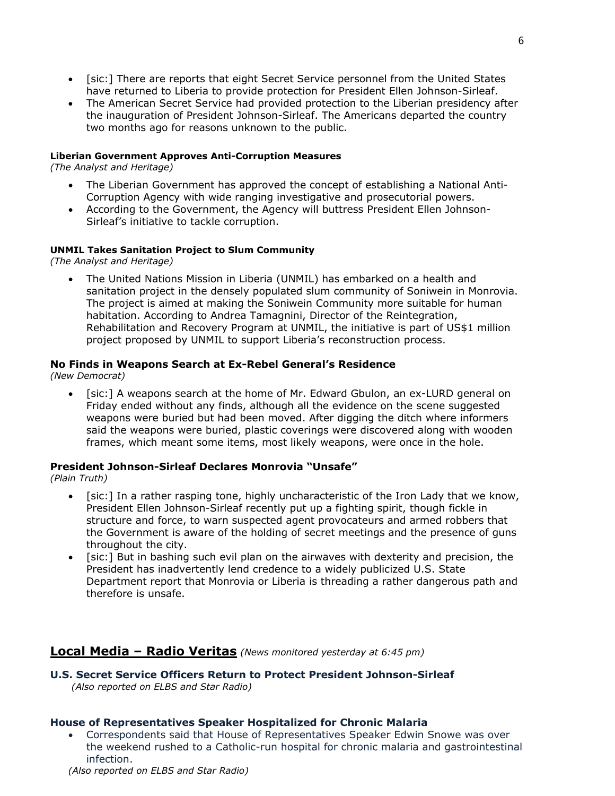- [sic:] There are reports that eight Secret Service personnel from the United States have returned to Liberia to provide protection for President Ellen Johnson-Sirleaf.
- The American Secret Service had provided protection to the Liberian presidency after the inauguration of President Johnson-Sirleaf. The Americans departed the country two months ago for reasons unknown to the public.

#### **Liberian Government Approves Anti-Corruption Measures**

*(The Analyst and Heritage)* 

- The Liberian Government has approved the concept of establishing a National Anti-Corruption Agency with wide ranging investigative and prosecutorial powers.
- According to the Government, the Agency will buttress President Ellen Johnson-Sirleaf's initiative to tackle corruption.

### **UNMIL Takes Sanitation Project to Slum Community**

*(The Analyst and Heritage)* 

• The United Nations Mission in Liberia (UNMIL) has embarked on a health and sanitation project in the densely populated slum community of Soniwein in Monrovia. The project is aimed at making the Soniwein Community more suitable for human habitation. According to Andrea Tamagnini, Director of the Reintegration, Rehabilitation and Recovery Program at UNMIL, the initiative is part of US\$1 million project proposed by UNMIL to support Liberia's reconstruction process.

### **No Finds in Weapons Search at Ex-Rebel General's Residence**

*(New Democrat)* 

• [sic:] A weapons search at the home of Mr. Edward Gbulon, an ex-LURD general on Friday ended without any finds, although all the evidence on the scene suggested weapons were buried but had been moved. After digging the ditch where informers said the weapons were buried, plastic coverings were discovered along with wooden frames, which meant some items, most likely weapons, were once in the hole.

### **President Johnson-Sirleaf Declares Monrovia "Unsafe"**

*(Plain Truth)* 

- [sic:] In a rather rasping tone, highly uncharacteristic of the Iron Lady that we know, President Ellen Johnson-Sirleaf recently put up a fighting spirit, though fickle in structure and force, to warn suspected agent provocateurs and armed robbers that the Government is aware of the holding of secret meetings and the presence of guns throughout the city.
- [sic:] But in bashing such evil plan on the airwaves with dexterity and precision, the President has inadvertently lend credence to a widely publicized U.S. State Department report that Monrovia or Liberia is threading a rather dangerous path and therefore is unsafe.

### **Local Media – Radio Veritas** *(News monitored yesterday at 6:45 pm)*

### **U.S. Secret Service Officers Return to Protect President Johnson-Sirleaf**   *(Also reported on ELBS and Star Radio)*

### **House of Representatives Speaker Hospitalized for Chronic Malaria**

• Correspondents said that House of Representatives Speaker Edwin Snowe was over the weekend rushed to a Catholic-run hospital for chronic malaria and gastrointestinal infection.